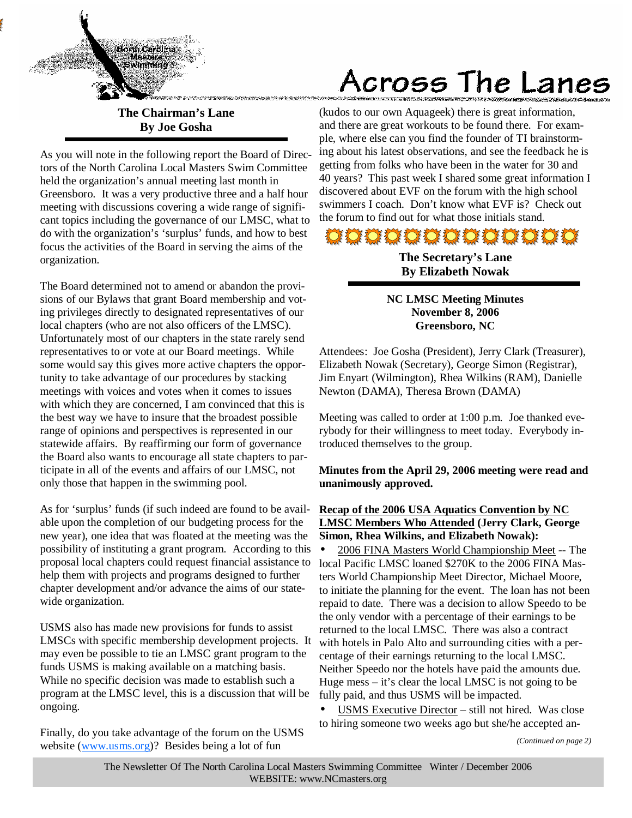

**The Chairman's Lane By Joe Gosha** 

As you will note in the following report the Board of Directors of the North Carolina Local Masters Swim Committee held the organization's annual meeting last month in Greensboro. It was a very productive three and a half hour meeting with discussions covering a wide range of significant topics including the governance of our LMSC, what to do with the organization's 'surplus' funds, and how to best focus the activities of the Board in serving the aims of the organization.

The Board determined not to amend or abandon the provisions of our Bylaws that grant Board membership and voting privileges directly to designated representatives of our local chapters (who are not also officers of the LMSC). Unfortunately most of our chapters in the state rarely send representatives to or vote at our Board meetings. While some would say this gives more active chapters the opportunity to take advantage of our procedures by stacking meetings with voices and votes when it comes to issues with which they are concerned, I am convinced that this is the best way we have to insure that the broadest possible range of opinions and perspectives is represented in our statewide affairs. By reaffirming our form of governance the Board also wants to encourage all state chapters to participate in all of the events and affairs of our LMSC, not only those that happen in the swimming pool.

As for 'surplus' funds (if such indeed are found to be available upon the completion of our budgeting process for the new year), one idea that was floated at the meeting was the possibility of instituting a grant program. According to this proposal local chapters could request financial assistance to help them with projects and programs designed to further chapter development and/or advance the aims of our statewide organization.

USMS also has made new provisions for funds to assist LMSCs with specific membership development projects. It may even be possible to tie an LMSC grant program to the funds USMS is making available on a matching basis. While no specific decision was made to establish such a program at the LMSC level, this is a discussion that will be ongoing.

Finally, do you take advantage of the forum on the USMS website (www.usms.org)? Besides being a lot of fun

# Across The Lanes

(kudos to our own Aquageek) there is great information, and there are great workouts to be found there. For example, where else can you find the founder of TI brainstorming about his latest observations, and see the feedback he is getting from folks who have been in the water for 30 and 40 years? This past week I shared some great information I discovered about EVF on the forum with the high school swimmers I coach. Don't know what EVF is? Check out the forum to find out for what those initials stand.

# 000000000000

**The Secretary's Lane By Elizabeth Nowak** 

## **NC LMSC Meeting Minutes November 8, 2006 Greensboro, NC**

Attendees: Joe Gosha (President), Jerry Clark (Treasurer), Elizabeth Nowak (Secretary), George Simon (Registrar), Jim Enyart (Wilmington), Rhea Wilkins (RAM), Danielle Newton (DAMA), Theresa Brown (DAMA)

Meeting was called to order at 1:00 p.m. Joe thanked everybody for their willingness to meet today. Everybody introduced themselves to the group.

# **Minutes from the April 29, 2006 meeting were read and unanimously approved.**

## **Recap of the 2006 USA Aquatics Convention by NC LMSC Members Who Attended (Jerry Clark, George Simon, Rhea Wilkins, and Elizabeth Nowak):**

• 2006 FINA Masters World Championship Meet -- The local Pacific LMSC loaned \$270K to the 2006 FINA Masters World Championship Meet Director, Michael Moore, to initiate the planning for the event. The loan has not been repaid to date. There was a decision to allow Speedo to be the only vendor with a percentage of their earnings to be returned to the local LMSC. There was also a contract with hotels in Palo Alto and surrounding cities with a percentage of their earnings returning to the local LMSC. Neither Speedo nor the hotels have paid the amounts due. Huge mess – it's clear the local LMSC is not going to be fully paid, and thus USMS will be impacted.

USMS Executive Director – still not hired. Was close to hiring someone two weeks ago but she/he accepted an-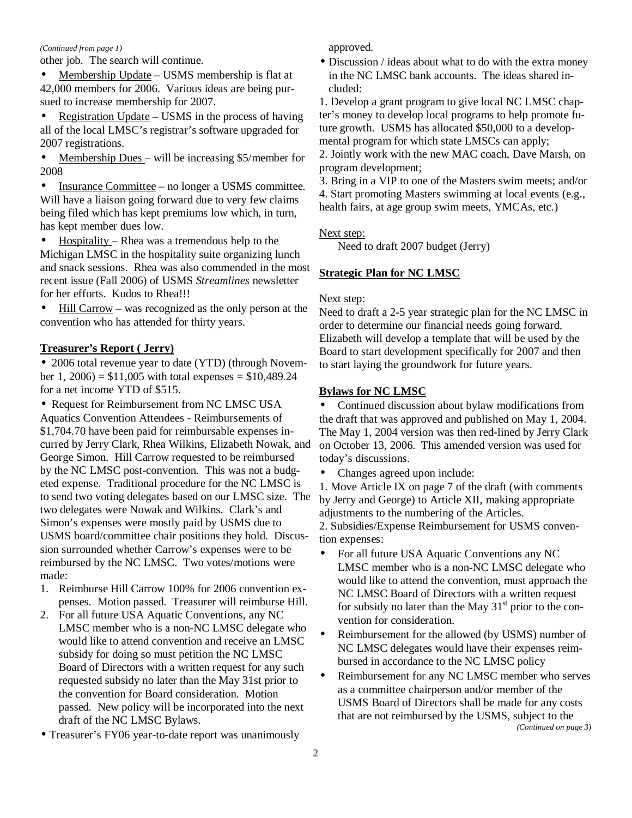#### *(Continued from page 1)*

other job. The search will continue.

Membership Update – USMS membership is flat at 42,000 members for 2006. Various ideas are being pursued to increase membership for 2007.

• Registration Update – USMS in the process of having all of the local LMSC's registrar's software upgraded for 2007 registrations.

Membership Dues - will be increasing \$5/member for 2008

• Insurance Committee – no longer a USMS committee. Will have a liaison going forward due to very few claims being filed which has kept premiums low which, in turn, has kept member dues low.

• Hospitality – Rhea was a tremendous help to the Michigan LMSC in the hospitality suite organizing lunch and snack sessions. Rhea was also commended in the most recent issue (Fall 2006) of USMS *Streamlines* newsletter for her efforts. Kudos to Rhea!!!

• Hill Carrow – was recognized as the only person at the convention who has attended for thirty years.

#### **Treasurer's Report ( Jerry)**

• 2006 total revenue year to date (YTD) (through November 1, 2006) =  $$11,005$  with total expenses =  $$10,489.24$ for a net income YTD of \$515.

• Request for Reimbursement from NC LMSC USA Aquatics Convention Attendees - Reimbursements of \$1,704.70 have been paid for reimbursable expenses incurred by Jerry Clark, Rhea Wilkins, Elizabeth Nowak, and George Simon. Hill Carrow requested to be reimbursed by the NC LMSC post-convention. This was not a budgeted expense. Traditional procedure for the NC LMSC is to send two voting delegates based on our LMSC size. The two delegates were Nowak and Wilkins. Clark's and Simon's expenses were mostly paid by USMS due to USMS board/committee chair positions they hold. Discussion surrounded whether Carrow's expenses were to be reimbursed by the NC LMSC. Two votes/motions were made:

- 1. Reimburse Hill Carrow 100% for 2006 convention expenses. Motion passed. Treasurer will reimburse Hill.
- 2. For all future USA Aquatic Conventions, any NC LMSC member who is a non-NC LMSC delegate who would like to attend convention and receive an LMSC subsidy for doing so must petition the NC LMSC Board of Directors with a written request for any such requested subsidy no later than the May 31st prior to the convention for Board consideration. Motion passed. New policy will be incorporated into the next draft of the NC LMSC Bylaws.
- Treasurer's FY06 year-to-date report was unanimously

approved.

• Discussion / ideas about what to do with the extra money in the NC LMSC bank accounts. The ideas shared included:

1. Develop a grant program to give local NC LMSC chapter's money to develop local programs to help promote future growth. USMS has allocated \$50,000 to a developmental program for which state LMSCs can apply;

2. Jointly work with the new MAC coach, Dave Marsh, on program development;

3. Bring in a VIP to one of the Masters swim meets; and/or 4. Start promoting Masters swimming at local events (e.g., health fairs, at age group swim meets, YMCAs, etc.)

#### Next step:

Need to draft 2007 budget (Jerry)

#### **Strategic Plan for NC LMSC**

#### Next step:

Need to draft a 2-5 year strategic plan for the NC LMSC in order to determine our financial needs going forward. Elizabeth will develop a template that will be used by the Board to start development specifically for 2007 and then to start laying the groundwork for future years.

#### **Bylaws for NC LMSC**

• Continued discussion about bylaw modifications from the draft that was approved and published on May 1, 2004. The May 1, 2004 version was then red-lined by Jerry Clark on October 13, 2006. This amended version was used for today's discussions.

• Changes agreed upon include:

1. Move Article IX on page 7 of the draft (with comments by Jerry and George) to Article XII, making appropriate adjustments to the numbering of the Articles.

2. Subsidies/Expense Reimbursement for USMS convention expenses:

- For all future USA Aquatic Conventions any NC LMSC member who is a non-NC LMSC delegate who would like to attend the convention, must approach the NC LMSC Board of Directors with a written request for subsidy no later than the May  $31<sup>st</sup>$  prior to the convention for consideration.
- Reimbursement for the allowed (by USMS) number of NC LMSC delegates would have their expenses reimbursed in accordance to the NC LMSC policy
- Reimbursement for any NC LMSC member who serves as a committee chairperson and/or member of the USMS Board of Directors shall be made for any costs that are not reimbursed by the USMS, subject to the *(Continued on page 3)*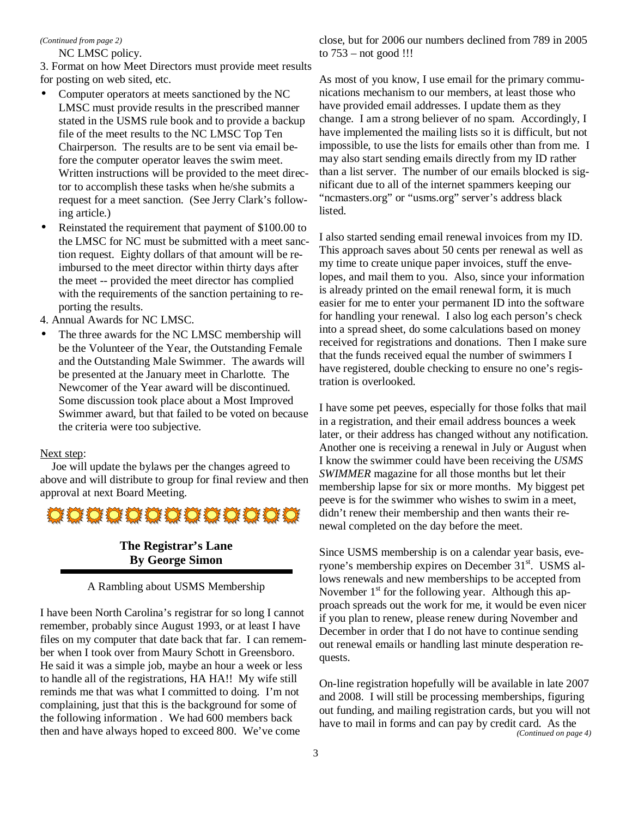#### *(Continued from page 2)*

NC LMSC policy.

3. Format on how Meet Directors must provide meet results for posting on web sited, etc.

- Computer operators at meets sanctioned by the NC LMSC must provide results in the prescribed manner stated in the USMS rule book and to provide a backup file of the meet results to the NC LMSC Top Ten Chairperson. The results are to be sent via email before the computer operator leaves the swim meet. Written instructions will be provided to the meet director to accomplish these tasks when he/she submits a request for a meet sanction. (See Jerry Clark's following article.)
- Reinstated the requirement that payment of \$100.00 to the LMSC for NC must be submitted with a meet sanction request. Eighty dollars of that amount will be reimbursed to the meet director within thirty days after the meet -- provided the meet director has complied with the requirements of the sanction pertaining to reporting the results.
- 4. Annual Awards for NC LMSC.
- The three awards for the NC LMSC membership will be the Volunteer of the Year, the Outstanding Female and the Outstanding Male Swimmer. The awards will be presented at the January meet in Charlotte. The Newcomer of the Year award will be discontinued. Some discussion took place about a Most Improved Swimmer award, but that failed to be voted on because the criteria were too subjective.

#### Next step:

 Joe will update the bylaws per the changes agreed to above and will distribute to group for final review and then approval at next Board Meeting.



# **The Registrar's Lane By George Simon**

#### A Rambling about USMS Membership

I have been North Carolina's registrar for so long I cannot remember, probably since August 1993, or at least I have files on my computer that date back that far. I can remember when I took over from Maury Schott in Greensboro. He said it was a simple job, maybe an hour a week or less to handle all of the registrations, HA HA!! My wife still reminds me that was what I committed to doing. I'm not complaining, just that this is the background for some of the following information . We had 600 members back then and have always hoped to exceed 800. We've come

close, but for 2006 our numbers declined from 789 in 2005 to 753 – not good !!!

As most of you know, I use email for the primary communications mechanism to our members, at least those who have provided email addresses. I update them as they change. I am a strong believer of no spam. Accordingly, I have implemented the mailing lists so it is difficult, but not impossible, to use the lists for emails other than from me. I may also start sending emails directly from my ID rather than a list server. The number of our emails blocked is significant due to all of the internet spammers keeping our "ncmasters.org" or "usms.org" server's address black listed.

I also started sending email renewal invoices from my ID. This approach saves about 50 cents per renewal as well as my time to create unique paper invoices, stuff the envelopes, and mail them to you. Also, since your information is already printed on the email renewal form, it is much easier for me to enter your permanent ID into the software for handling your renewal. I also log each person's check into a spread sheet, do some calculations based on money received for registrations and donations. Then I make sure that the funds received equal the number of swimmers I have registered, double checking to ensure no one's registration is overlooked.

I have some pet peeves, especially for those folks that mail in a registration, and their email address bounces a week later, or their address has changed without any notification. Another one is receiving a renewal in July or August when I know the swimmer could have been receiving the *USMS SWIMMER* magazine for all those months but let their membership lapse for six or more months. My biggest pet peeve is for the swimmer who wishes to swim in a meet, didn't renew their membership and then wants their renewal completed on the day before the meet.

Since USMS membership is on a calendar year basis, everyone's membership expires on December 31st. USMS allows renewals and new memberships to be accepted from November  $1<sup>st</sup>$  for the following year. Although this approach spreads out the work for me, it would be even nicer if you plan to renew, please renew during November and December in order that I do not have to continue sending out renewal emails or handling last minute desperation requests.

On-line registration hopefully will be available in late 2007 and 2008. I will still be processing memberships, figuring out funding, and mailing registration cards, but you will not have to mail in forms and can pay by credit card. As the *(Continued on page 4)*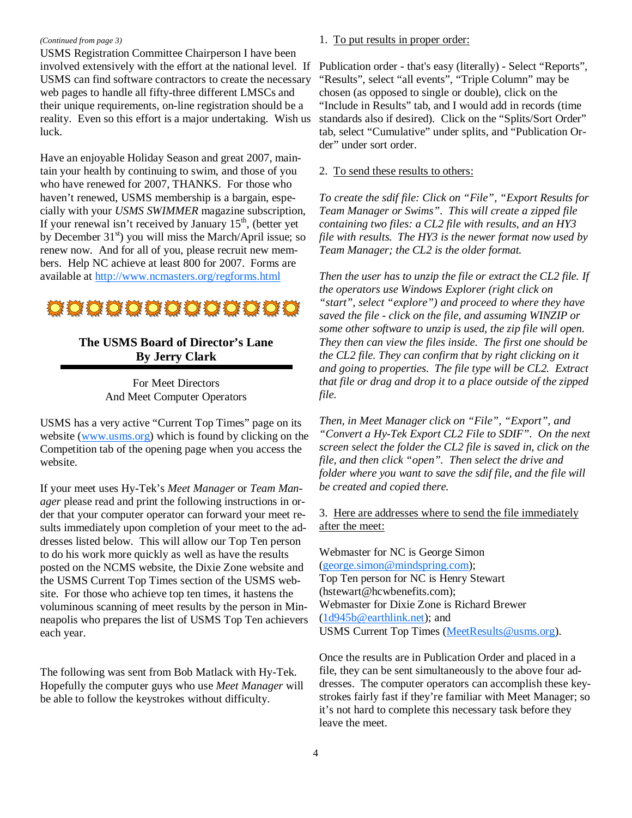#### *(Continued from page 3)*

USMS Registration Committee Chairperson I have been involved extensively with the effort at the national level. If USMS can find software contractors to create the necessary web pages to handle all fifty-three different LMSCs and their unique requirements, on-line registration should be a reality. Even so this effort is a major undertaking. Wish us luck.

Have an enjoyable Holiday Season and great 2007, maintain your health by continuing to swim, and those of you who have renewed for 2007, THANKS. For those who haven't renewed, USMS membership is a bargain, especially with your *USMS SWIMMER* magazine subscription, If your renewal isn't received by January  $15<sup>th</sup>$ , (better yet by December 31<sup>st</sup>) you will miss the March/April issue; so renew now. And for all of you, please recruit new members. Help NC achieve at least 800 for 2007. Forms are available at http://www.ncmasters.org/regforms.html



# **The USMS Board of Director's Lane By Jerry Clark**

For Meet Directors And Meet Computer Operators

USMS has a very active "Current Top Times" page on its website (www.usms.org) which is found by clicking on the Competition tab of the opening page when you access the website.

If your meet uses Hy-Tek's *Meet Manager* or *Team Manager* please read and print the following instructions in order that your computer operator can forward your meet results immediately upon completion of your meet to the addresses listed below. This will allow our Top Ten person to do his work more quickly as well as have the results posted on the NCMS website, the Dixie Zone website and the USMS Current Top Times section of the USMS website. For those who achieve top ten times, it hastens the voluminous scanning of meet results by the person in Minneapolis who prepares the list of USMS Top Ten achievers each year.

The following was sent from Bob Matlack with Hy-Tek. Hopefully the computer guys who use *Meet Manager* will be able to follow the keystrokes without difficulty.

#### 1. To put results in proper order:

Publication order - that's easy (literally) - Select "Reports", "Results", select "all events", "Triple Column" may be chosen (as opposed to single or double), click on the "Include in Results" tab, and I would add in records (time standards also if desired). Click on the "Splits/Sort Order" tab, select "Cumulative" under splits, and "Publication Order" under sort order.

#### 2. To send these results to others:

*To create the sdif file: Click on "File", "Export Results for Team Manager or Swims". This will create a zipped file containing two files: a CL2 file with results, and an HY3 file with results. The HY3 is the newer format now used by Team Manager; the CL2 is the older format.* 

*Then the user has to unzip the file or extract the CL2 file. If the operators use Windows Explorer (right click on "start", select "explore") and proceed to where they have saved the file - click on the file, and assuming WINZIP or some other software to unzip is used, the zip file will open. They then can view the files inside. The first one should be the CL2 file. They can confirm that by right clicking on it and going to properties. The file type will be CL2. Extract that file or drag and drop it to a place outside of the zipped file.* 

*Then, in Meet Manager click on "File", "Export", and "Convert a Hy-Tek Export CL2 File to SDIF". On the next screen select the folder the CL2 file is saved in, click on the file, and then click "open". Then select the drive and folder where you want to save the sdif file, and the file will be created and copied there.* 

#### 3. Here are addresses where to send the file immediately after the meet:

Webmaster for NC is George Simon (george.simon@mindspring.com); Top Ten person for NC is Henry Stewart (hstewart@hcwbenefits.com); Webmaster for Dixie Zone is Richard Brewer (1d945b@earthlink.net); and USMS Current Top Times (MeetResults@usms.org).

Once the results are in Publication Order and placed in a file, they can be sent simultaneously to the above four addresses. The computer operators can accomplish these keystrokes fairly fast if they're familiar with Meet Manager; so it's not hard to complete this necessary task before they leave the meet.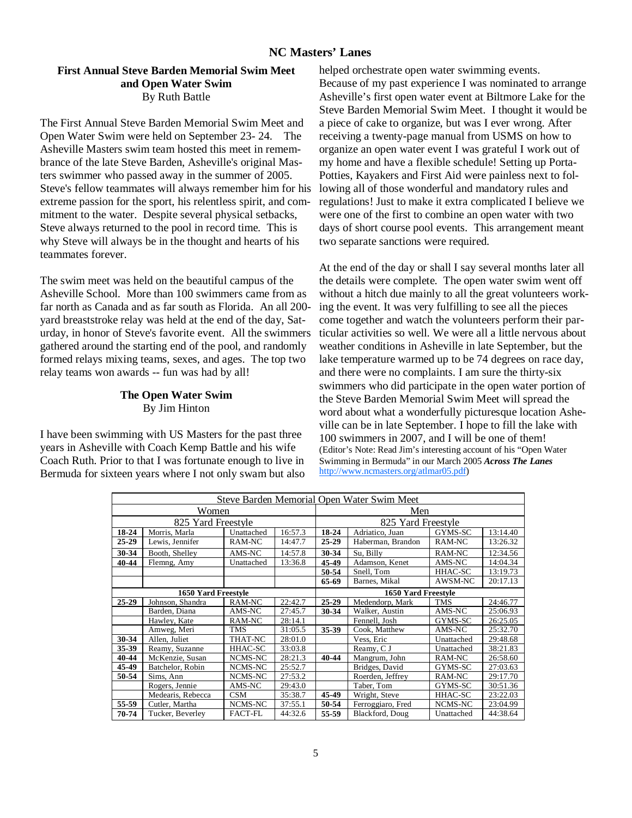## **NC Masters' Lanes**

#### **First Annual Steve Barden Memorial Swim Meet and Open Water Swim**  By Ruth Battle

The First Annual Steve Barden Memorial Swim Meet and Open Water Swim were held on September 23- 24. The Asheville Masters swim team hosted this meet in remembrance of the late Steve Barden, Asheville's original Masters swimmer who passed away in the summer of 2005. Steve's fellow teammates will always remember him for his extreme passion for the sport, his relentless spirit, and commitment to the water. Despite several physical setbacks, Steve always returned to the pool in record time. This is why Steve will always be in the thought and hearts of his teammates forever.

The swim meet was held on the beautiful campus of the Asheville School. More than 100 swimmers came from as far north as Canada and as far south as Florida. An all 200 yard breaststroke relay was held at the end of the day, Saturday, in honor of Steve's favorite event. All the swimmers gathered around the starting end of the pool, and randomly formed relays mixing teams, sexes, and ages. The top two relay teams won awards -- fun was had by all!

#### **The Open Water Swim**  By Jim Hinton

I have been swimming with US Masters for the past three years in Asheville with Coach Kemp Battle and his wife Coach Ruth. Prior to that I was fortunate enough to live in Bermuda for sixteen years where I not only swam but also helped orchestrate open water swimming events. Because of my past experience I was nominated to arrange Asheville's first open water event at Biltmore Lake for the Steve Barden Memorial Swim Meet. I thought it would be a piece of cake to organize, but was I ever wrong. After receiving a twenty-page manual from USMS on how to organize an open water event I was grateful I work out of my home and have a flexible schedule! Setting up Porta-Potties, Kayakers and First Aid were painless next to following all of those wonderful and mandatory rules and regulations! Just to make it extra complicated I believe we were one of the first to combine an open water with two days of short course pool events. This arrangement meant two separate sanctions were required.

At the end of the day or shall I say several months later all the details were complete. The open water swim went off without a hitch due mainly to all the great volunteers working the event. It was very fulfilling to see all the pieces come together and watch the volunteers perform their particular activities so well. We were all a little nervous about weather conditions in Asheville in late September, but the lake temperature warmed up to be 74 degrees on race day, and there were no complaints. I am sure the thirty-six swimmers who did participate in the open water portion of the Steve Barden Memorial Swim Meet will spread the word about what a wonderfully picturesque location Asheville can be in late September. I hope to fill the lake with 100 swimmers in 2007, and I will be one of them! (Editor's Note: Read Jim's interesting account of his "Open Water Swimming in Bermuda" in our March 2005 *Across The Lanes* http://www.ncmasters.org/atlmar05.pdf)

|                     | Steve Barden Memorial Open Water Swim Meet |                |         |                                   |                    |            |          |
|---------------------|--------------------------------------------|----------------|---------|-----------------------------------|--------------------|------------|----------|
| Women               |                                            |                |         | Men                               |                    |            |          |
|                     | 825 Yard Freestyle                         |                |         |                                   | 825 Yard Freestyle |            |          |
| 18-24               | Morris, Marla                              | Unattached     | 16:57.3 | 18-24                             | Adriatico, Juan    | GYMS-SC    | 13:14.40 |
| 25-29               | Lewis, Jennifer                            | RAM-NC         | 14:47.7 | $25 - 29$                         | Haberman, Brandon  | RAM-NC     | 13:26.32 |
| 30-34               | Booth, Shelley                             | AMS-NC         | 14:57.8 | 30-34                             | Su. Billy          | RAM-NC     | 12:34.56 |
| 40-44               | Flemng, Amy                                | Unattached     | 13:36.8 | 45-49                             | Adamson, Kenet     | AMS-NC     | 14:04.34 |
|                     |                                            |                |         | 50-54                             | Snell, Tom         | HHAC-SC    | 13:19.73 |
|                     |                                            |                |         | 65-69<br>AWSM-NC<br>Barnes, Mikal |                    |            | 20:17.13 |
| 1650 Yard Freestyle |                                            |                |         | 1650 Yard Freestyle               |                    |            |          |
| 25-29               | Johnson, Shandra                           | RAM-NC         | 22:42.7 | $25 - 29$                         | Medendorp, Mark    | TMS        | 24:46.77 |
|                     | Barden, Diana                              | AMS-NC         | 27:45.7 | 30-34                             | Walker, Austin     | AMS-NC     | 25:06.93 |
|                     | Hawley, Kate                               | RAM-NC         | 28:14.1 |                                   | Fennell, Josh      | GYMS-SC    | 26:25.05 |
|                     | Amweg, Meri                                | TMS            | 31:05.5 | 35-39                             | Cook, Matthew      | AMS-NC     | 25:32.70 |
| 30-34               | Allen, Juliet                              | THAT-NC        | 28:01.0 |                                   | Vess, Eric         | Unattached | 29:48.68 |
| 35-39               | Reamy, Suzanne                             | HHAC-SC        | 33:03.8 |                                   | Reamy, C J         | Unattached | 38:21.83 |
| 40-44               | McKenzie, Susan                            | NCMS-NC        | 28:21.3 | 40-44                             | Mangrum, John      | RAM-NC     | 26:58.60 |
| 45-49               | Batchelor, Robin                           | NCMS-NC        | 25:52.7 |                                   | Bridges, David     | GYMS-SC    | 27:03.63 |
| 50-54               | Sims, Ann                                  | NCMS-NC        | 27:53.2 |                                   | Roerden. Jeffrey   | RAM-NC     | 29:17.70 |
|                     | Rogers, Jennie                             | AMS-NC         | 29:43.0 |                                   | Taber, Tom         | GYMS-SC    | 30:51.36 |
|                     | Medearis, Rebecca                          | <b>CSM</b>     | 35:38.7 | 45-49                             | Wright, Steve      | HHAC-SC    | 23:22.03 |
| 55-59               | Cutler, Martha                             | NCMS-NC        | 37:55.1 | 50-54                             | Ferroggiaro, Fred  | NCMS-NC    | 23:04.99 |
| 70-74               | Tucker, Beverley                           | <b>FACT-FL</b> | 44:32.6 | 55-59                             | Blackford, Doug    | Unattached | 44:38.64 |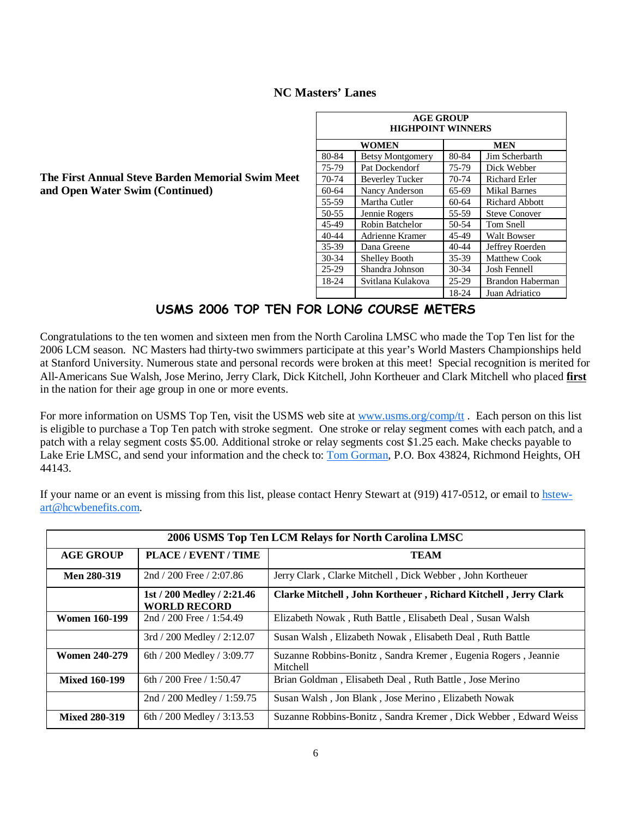# **NC Masters' Lanes**

| <b>AGE GROUP</b><br><b>HIGHPOINT WINNERS</b> |                         |         |                       |  |  |  |
|----------------------------------------------|-------------------------|---------|-----------------------|--|--|--|
|                                              | WOMEN                   |         | <b>MEN</b>            |  |  |  |
| 80-84                                        | <b>Betsy Montgomery</b> | 80-84   | Jim Scherbarth        |  |  |  |
| 75-79                                        | Pat Dockendorf          | 75-79   | Dick Webber           |  |  |  |
| 70-74                                        | <b>Beverley Tucker</b>  | 70-74   | <b>Richard Erler</b>  |  |  |  |
| $60 - 64$                                    | Nancy Anderson          | 65-69   | <b>Mikal Barnes</b>   |  |  |  |
| 55-59                                        | Martha Cutler           | $60-64$ | <b>Richard Abbott</b> |  |  |  |
| 50-55                                        | Jennie Rogers           | 55-59   | <b>Steve Conover</b>  |  |  |  |
| 45-49                                        | Robin Batchelor         | 50-54   | Tom Snell             |  |  |  |
| $40 - 44$                                    | Adrienne Kramer         | 45-49   | <b>Walt Bowser</b>    |  |  |  |
| $35 - 39$                                    | Dana Greene             | 40-44   | Jeffrey Roerden       |  |  |  |
| $30 - 34$                                    | <b>Shelley Booth</b>    | 35-39   | <b>Matthew Cook</b>   |  |  |  |
| $25-29$                                      | Shandra Johnson         | $30-34$ | Josh Fennell          |  |  |  |
| 18-24                                        | Svitlana Kulakova       | $25-29$ | Brandon Haberman      |  |  |  |
|                                              |                         | 18-24   | Juan Adriatico        |  |  |  |

**The First Annual Steve Barden Memorial Swim Meet and Open Water Swim (Continued)** 

# USMS 2006 TOP TEN FOR LONG COURSE METERS

Congratulations to the ten women and sixteen men from the North Carolina LMSC who made the Top Ten list for the 2006 LCM season. NC Masters had thirty-two swimmers participate at this year's World Masters Championships held at Stanford University. Numerous state and personal records were broken at this meet! Special recognition is merited for All-Americans Sue Walsh, Jose Merino, Jerry Clark, Dick Kitchell, John Kortheuer and Clark Mitchell who placed **first** in the nation for their age group in one or more events.

For more information on USMS Top Ten, visit the USMS web site at www.usms.org/comp/tt. Each person on this list is eligible to purchase a Top Ten patch with stroke segment. One stroke or relay segment comes with each patch, and a patch with a relay segment costs \$5.00. Additional stroke or relay segments cost \$1.25 each. Make checks payable to Lake Erie LMSC, and send your information and the check to: Tom Gorman, P.O. Box 43824, Richmond Heights, OH 44143.

If your name or an event is missing from this list, please contact Henry Stewart at (919) 417-0512, or email to hstewart@hcwbenefits.com.

|                      | 2006 USMS Top Ten LCM Relays for North Carolina LMSC |                                                                            |  |  |  |
|----------------------|------------------------------------------------------|----------------------------------------------------------------------------|--|--|--|
| <b>AGE GROUP</b>     | PLACE / EVENT / TIME                                 | <b>TEAM</b>                                                                |  |  |  |
| Men 280-319          | $2nd / 200$ Free $/ 2:07.86$                         | Jerry Clark, Clarke Mitchell, Dick Webber, John Kortheuer                  |  |  |  |
|                      | 1st / 200 Medley / 2:21.46<br><b>WORLD RECORD</b>    | Clarke Mitchell, John Kortheuer, Richard Kitchell, Jerry Clark             |  |  |  |
| <b>Women 160-199</b> | 2nd / 200 Free / 1:54.49                             | Elizabeth Nowak, Ruth Battle, Elisabeth Deal, Susan Walsh                  |  |  |  |
|                      | $3rd / 200$ Medley $/ 2:12.07$                       | Susan Walsh, Elizabeth Nowak, Elisabeth Deal, Ruth Battle                  |  |  |  |
| <b>Women 240-279</b> | 6th / 200 Medley / 3:09.77                           | Suzanne Robbins-Bonitz, Sandra Kremer, Eugenia Rogers, Jeannie<br>Mitchell |  |  |  |
| <b>Mixed 160-199</b> | 6th / 200 Free / 1:50.47                             | Brian Goldman, Elisabeth Deal, Ruth Battle, Jose Merino                    |  |  |  |
|                      | 2nd / 200 Medley / 1:59.75                           | Susan Walsh, Jon Blank, Jose Merino, Elizabeth Nowak                       |  |  |  |
| <b>Mixed 280-319</b> | 6th / 200 Medley / $3:13.53$                         | Suzanne Robbins-Bonitz, Sandra Kremer, Dick Webber, Edward Weiss           |  |  |  |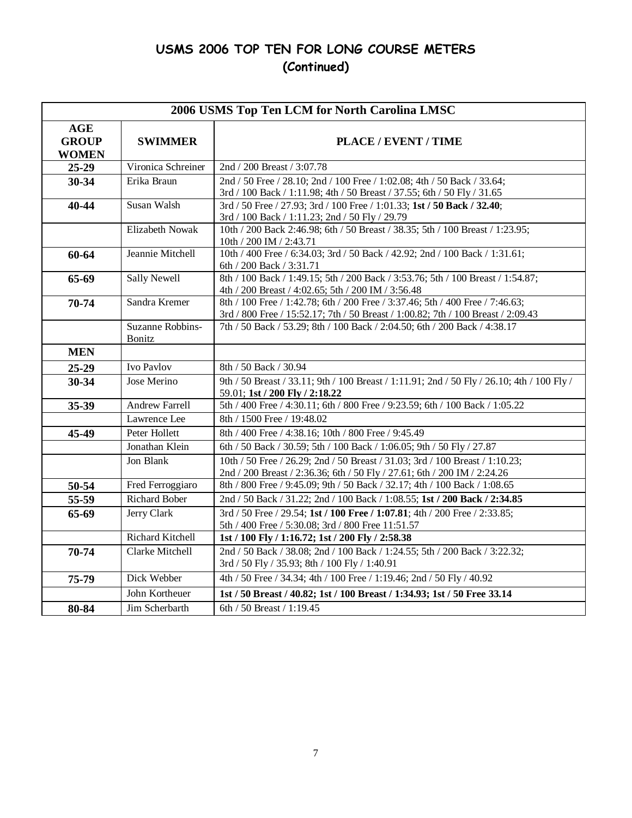# USMS 2006 TOP TEN FOR LONG COURSE METERS (Continued)

|                                            | 2006 USMS Top Ten LCM for North Carolina LMSC |                                                                                                                                                                   |  |  |  |  |
|--------------------------------------------|-----------------------------------------------|-------------------------------------------------------------------------------------------------------------------------------------------------------------------|--|--|--|--|
| <b>AGE</b><br><b>GROUP</b><br><b>WOMEN</b> | <b>SWIMMER</b>                                | PLACE / EVENT / TIME                                                                                                                                              |  |  |  |  |
| 25-29                                      | Vironica Schreiner                            | 2nd / 200 Breast / 3:07.78                                                                                                                                        |  |  |  |  |
| 30-34                                      | Erika Braun                                   | 2nd / 50 Free / 28.10; 2nd / 100 Free / 1:02.08; 4th / 50 Back / 33.64;<br>3rd / 100 Back / 1:11.98; 4th / 50 Breast / 37.55; 6th / 50 Fly / 31.65                |  |  |  |  |
| $40 - 44$                                  | Susan Walsh                                   | 3rd / 50 Free / 27.93; 3rd / 100 Free / 1:01.33; 1st / 50 Back / 32.40;<br>3rd / 100 Back / 1:11.23; 2nd / 50 Fly / 29.79                                         |  |  |  |  |
|                                            | <b>Elizabeth Nowak</b>                        | 10th / 200 Back 2:46.98; 6th / 50 Breast / 38.35; 5th / 100 Breast / 1:23.95;<br>10th / 200 IM / 2:43.71                                                          |  |  |  |  |
| 60-64                                      | Jeannie Mitchell                              | 10th / 400 Free / 6:34.03; 3rd / 50 Back / 42.92; 2nd / 100 Back / 1:31.61;<br>6th / 200 Back / 3:31.71                                                           |  |  |  |  |
| 65-69                                      | <b>Sally Newell</b>                           | 8th / 100 Back / 1:49.15; 5th / 200 Back / 3:53.76; 5th / 100 Breast / 1:54.87;<br>4th / 200 Breast / 4:02.65; 5th / 200 IM / 3:56.48                             |  |  |  |  |
| 70-74                                      | Sandra Kremer                                 | 8th / 100 Free / 1:42.78; 6th / 200 Free / 3:37.46; 5th / 400 Free / 7:46.63;<br>3rd / 800 Free / 15:52.17; 7th / 50 Breast / 1:00.82; 7th / 100 Breast / 2:09.43 |  |  |  |  |
|                                            | Suzanne Robbins-<br><b>Bonitz</b>             | 7th / 50 Back / 53.29; 8th / 100 Back / 2:04.50; 6th / 200 Back / 4:38.17                                                                                         |  |  |  |  |
| <b>MEN</b>                                 |                                               |                                                                                                                                                                   |  |  |  |  |
| 25-29                                      | Ivo Pavlov                                    | 8th / 50 Back / 30.94                                                                                                                                             |  |  |  |  |
| 30-34                                      | Jose Merino                                   | 9th / 50 Breast / 33.11; 9th / 100 Breast / 1:11.91; 2nd / 50 Fly / 26.10; 4th / 100 Fly /<br>59.01; 1st / 200 Fly / 2:18.22                                      |  |  |  |  |
| 35-39                                      | Andrew Farrell                                | 5th / 400 Free / 4:30.11; 6th / 800 Free / 9:23.59; 6th / 100 Back / 1:05.22                                                                                      |  |  |  |  |
|                                            | Lawrence Lee                                  | 8th / 1500 Free / 19:48.02                                                                                                                                        |  |  |  |  |
| 45-49                                      | Peter Hollett                                 | 8th / 400 Free / 4:38.16; 10th / 800 Free / 9:45.49                                                                                                               |  |  |  |  |
|                                            | Jonathan Klein                                | 6th / 50 Back / 30.59; 5th / 100 Back / 1:06.05; 9th / 50 Fly / 27.87                                                                                             |  |  |  |  |
|                                            | Jon Blank                                     | 10th / 50 Free / 26.29; 2nd / 50 Breast / 31.03; 3rd / 100 Breast / 1:10.23;<br>2nd / 200 Breast / 2:36.36; 6th / 50 Fly / 27.61; 6th / 200 IM / 2:24.26          |  |  |  |  |
| 50-54                                      | Fred Ferroggiaro                              | 8th / 800 Free / 9:45.09; 9th / 50 Back / 32.17; 4th / 100 Back / 1:08.65                                                                                         |  |  |  |  |
| 55-59                                      | <b>Richard Bober</b>                          | 2nd / 50 Back / 31.22; 2nd / 100 Back / 1:08.55; 1st / 200 Back / 2:34.85                                                                                         |  |  |  |  |
| 65-69                                      | Jerry Clark                                   | 3rd / 50 Free / 29.54; 1st / 100 Free / 1:07.81; 4th / 200 Free / 2:33.85;<br>5th / 400 Free / 5:30.08; 3rd / 800 Free 11:51.57                                   |  |  |  |  |
|                                            | Richard Kitchell                              | 1st / 100 Fly / 1:16.72; 1st / 200 Fly / 2:58.38                                                                                                                  |  |  |  |  |
| 70-74                                      | Clarke Mitchell                               | 2nd / 50 Back / 38.08; 2nd / 100 Back / 1:24.55; 5th / 200 Back / 3:22.32;<br>3rd / 50 Fly / 35.93; 8th / 100 Fly / 1:40.91                                       |  |  |  |  |
| 75-79                                      | Dick Webber                                   | 4th / 50 Free / 34.34; 4th / 100 Free / 1:19.46; 2nd / 50 Fly / 40.92                                                                                             |  |  |  |  |
|                                            | John Kortheuer                                | 1st / 50 Breast / 40.82; 1st / 100 Breast / 1:34.93; 1st / 50 Free 33.14                                                                                          |  |  |  |  |
| 80-84                                      | Jim Scherbarth                                | 6th / 50 Breast / 1:19.45                                                                                                                                         |  |  |  |  |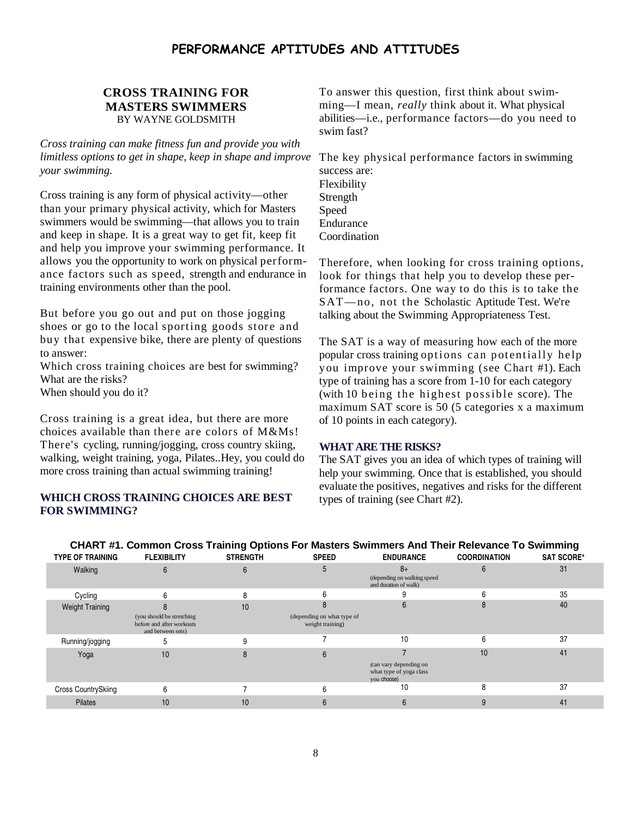# PERFORMANCE APTITUDES AND ATTITUDES

## **CROSS TRAINING FOR MASTERS SWIMMERS**  BY WAYNE GOLDSMITH

*Cross training can make fitness fun and provide you with limitless options to get in shape, keep in shape and improve your swimming.* 

Cross training is any form of physical activity—other than your primary physical activity, which for Masters swimmers would be swimming—that allows you to train and keep in shape. It is a great way to get fit, keep fit and help you improve your swimming performance. It allows you the opportunity to work on physical performance factors such as speed, strength and endurance in training environments other than the pool.

But before you go out and put on those jogging shoes or go to the local sporting goods store and buy that expensive bike, there are plenty of questions to answer:

Which cross training choices are best for swimming? What are the risks?

When should you do it?

Cross training is a great idea, but there are more choices available than there are colors of M&Ms! There's cycling, running/jogging, cross country skiing, walking, weight training, yoga, Pilates..Hey, you could do more cross training than actual swimming training!

#### **WHICH CROSS TRAINING CHOICES ARE BEST FOR SWIMMING?**

To answer this question, first think about swimming—I mean, *really* think about it. What physical abilities—i.e., performance factors—do you need to swim fast?

The key physical performance factors in swimming success are: Flexibility Strength Speed Endurance Coordination

Therefore, when looking for cross training options, look for things that help you to develop these performance factors. One way to do this is to take the SAT-no, not the Scholastic Aptitude Test. We're talking about the Swimming Appropriateness Test.

The SAT is a way of measuring how each of the more popular cross training options can potentially help you improve your swimming (see Chart #1). Each type of training has a score from 1-10 for each category (with 10 being the highest possible score). The maximum SAT score is 50 (5 categories x a maximum of 10 points in each category).

## **WHAT ARE THE RISKS?**

The SAT gives you an idea of which types of training will help your swimming. Once that is established, you should evaluate the positives, negatives and risks for the different types of training (see Chart #2).

| <b>TYPE OF TRAINING</b>    | CHART #1. Common Cross Training Options For Masters Swimmers And Their Relevance To Swimming<br><b>FLEXIBILITY</b> | <b>STRENGTH</b> | <b>SPEED</b>                                   | <b>ENDURANCE</b>                                                 | <b>COORDINATION</b> | <b>SAT SCORE*</b> |
|----------------------------|--------------------------------------------------------------------------------------------------------------------|-----------------|------------------------------------------------|------------------------------------------------------------------|---------------------|-------------------|
| Walking                    |                                                                                                                    |                 |                                                | $8+$<br>(depending on walking speed<br>and duration of walk)     |                     | 31                |
| Cycling                    | 6                                                                                                                  |                 |                                                |                                                                  |                     | 35                |
| <b>Weight Training</b>     |                                                                                                                    | 10              |                                                |                                                                  |                     | 40                |
|                            | (you should be stretching<br>before and after workouts<br>and between sets)                                        |                 | (depending on what type of<br>weight training) |                                                                  |                     |                   |
| Running/jogging            |                                                                                                                    |                 |                                                | 10                                                               | 6                   | 37                |
| Yoga                       | 10                                                                                                                 |                 | 6                                              |                                                                  | 10                  | 41                |
|                            |                                                                                                                    |                 |                                                | (can vary depending on<br>what type of yoga class<br>you choose) |                     |                   |
| <b>Cross CountrySkiing</b> | 6                                                                                                                  |                 |                                                | 10                                                               |                     | 37                |
| <b>Pilates</b>             | 10                                                                                                                 | 10              | 6                                              |                                                                  |                     | 41                |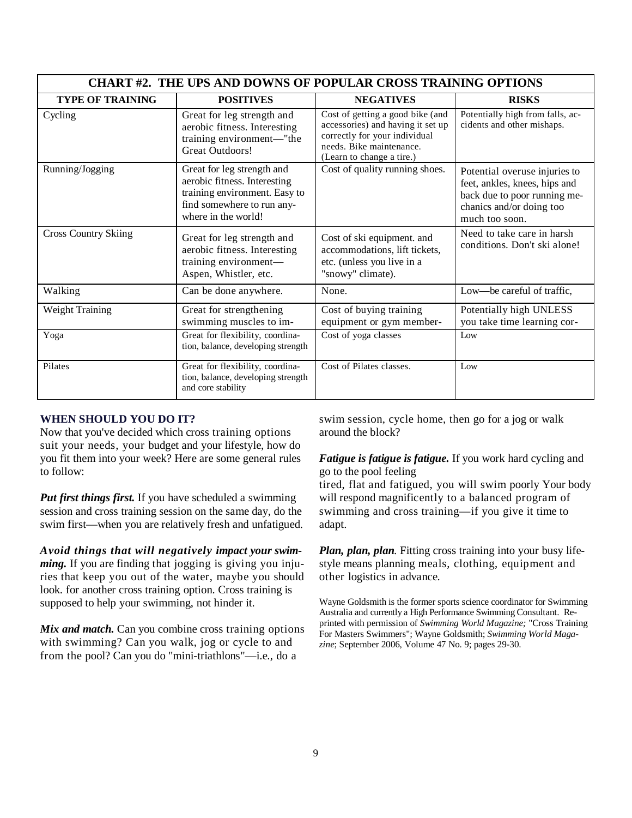| <b>CHART #2. THE UPS AND DOWNS OF POPULAR CROSS TRAINING OPTIONS</b> |                                                                                                                                                  |                                                                                                                                                                 |                                                                                                                                              |  |  |
|----------------------------------------------------------------------|--------------------------------------------------------------------------------------------------------------------------------------------------|-----------------------------------------------------------------------------------------------------------------------------------------------------------------|----------------------------------------------------------------------------------------------------------------------------------------------|--|--|
| <b>TYPE OF TRAINING</b>                                              | <b>POSITIVES</b>                                                                                                                                 | <b>NEGATIVES</b>                                                                                                                                                | <b>RISKS</b>                                                                                                                                 |  |  |
| Cycling                                                              | Great for leg strength and<br>aerobic fitness. Interesting<br>training environment-"the<br>Great Outdoors!                                       | Cost of getting a good bike (and<br>accessories) and having it set up<br>correctly for your individual<br>needs. Bike maintenance.<br>(Learn to change a tire.) | Potentially high from falls, ac-<br>cidents and other mishaps.                                                                               |  |  |
| Running/Jogging                                                      | Great for leg strength and<br>aerobic fitness. Interesting<br>training environment. Easy to<br>find somewhere to run any-<br>where in the world! | Cost of quality running shoes.                                                                                                                                  | Potential overuse injuries to<br>feet, ankles, knees, hips and<br>back due to poor running me-<br>chanics and/or doing too<br>much too soon. |  |  |
| <b>Cross Country Skiing</b>                                          | Great for leg strength and<br>aerobic fitness. Interesting<br>training environment-<br>Aspen, Whistler, etc.                                     | Cost of ski equipment. and<br>accommodations, lift tickets,<br>etc. (unless you live in a<br>"snowy" climate).                                                  | Need to take care in harsh<br>conditions. Don't ski alone!                                                                                   |  |  |
| Walking                                                              | Can be done anywhere.                                                                                                                            | None.                                                                                                                                                           | Low-be careful of traffic,                                                                                                                   |  |  |
| Weight Training                                                      | Great for strengthening<br>swimming muscles to im-                                                                                               | Cost of buying training<br>equipment or gym member-                                                                                                             | Potentially high UNLESS<br>you take time learning cor-                                                                                       |  |  |
| Yoga                                                                 | Great for flexibility, coordina-<br>tion, balance, developing strength                                                                           | Cost of yoga classes                                                                                                                                            | Low                                                                                                                                          |  |  |
| Pilates                                                              | Great for flexibility, coordina-<br>tion, balance, developing strength<br>and core stability                                                     | Cost of Pilates classes.                                                                                                                                        | Low                                                                                                                                          |  |  |

#### **WHEN SHOULD YOU DO IT?**

Now that you've decided which cross training options suit your needs, your budget and your lifestyle, how do you fit them into your week? Here are some general rules to follow:

*Put first things first.* If you have scheduled a swimming session and cross training session on the same day, do the swim first—when you are relatively fresh and unfatigued.

*Avoid things that will negatively impact your swimming.* If you are finding that jogging is giving you injuries that keep you out of the water, maybe you should look. for another cross training option. Cross training is supposed to help your swimming, not hinder it.

*Mix and match.* Can you combine cross training options with swimming? Can you walk, jog or cycle to and from the pool? Can you do "mini-triathlons"—i.e., do a

swim session, cycle home, then go for a jog or walk around the block?

# *Fatigue is fatigue is fatigue.* If you work hard cycling and go to the pool feeling

tired, flat and fatigued, you will swim poorly Your body will respond magnificently to a balanced program of swimming and cross training—if you give it time to adapt.

*Plan, plan, plan.* Fitting cross training into your busy lifestyle means planning meals, clothing, equipment and other logistics in advance.

Wayne Goldsmith is the former sports science coordinator for Swimming Australia and currently a High Performance Swimming Consultant. Reprinted with permission of *Swimming World Magazine;* "Cross Training For Masters Swimmers"; Wayne Goldsmith; *Swimming World Magazine*; September 2006, Volume 47 No. 9; pages 29-30.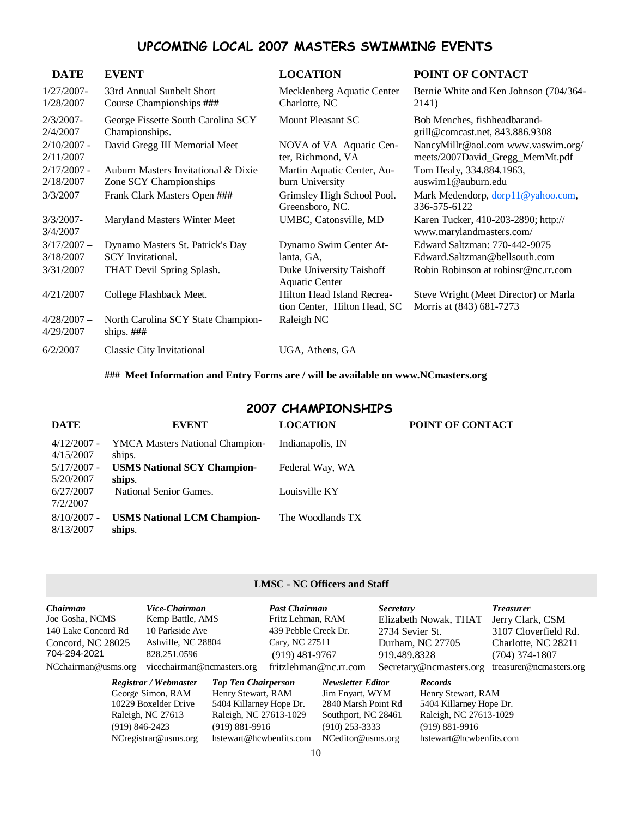# UPCOMING LOCAL 2007 MASTERS SWIMMING EVENTS

| <b>DATE</b>                | <b>EVENT</b>                                                  | <b>LOCATION</b>                                            | POINT OF CONTACT                                                      |
|----------------------------|---------------------------------------------------------------|------------------------------------------------------------|-----------------------------------------------------------------------|
| $1/27/2007-$<br>1/28/2007  | 33rd Annual Sunbelt Short<br>Course Championships ###         | Mecklenberg Aquatic Center<br>Charlotte, NC                | Bernie White and Ken Johnson (704/364-<br>2141)                       |
| $2/3/2007 -$<br>2/4/2007   | George Fissette South Carolina SCY<br>Championships.          | Mount Pleasant SC                                          | Bob Menches, fishheadbarand-<br>grill@comcast.net, 843.886.9308       |
| $2/10/2007$ -<br>2/11/2007 | David Gregg III Memorial Meet                                 | NOVA of VA Aquatic Cen-<br>ter, Richmond, VA               | NancyMillr@aol.com www.vaswim.org/<br>meets/2007David_Gregg_MemMt.pdf |
| $2/17/2007 -$<br>2/18/2007 | Auburn Masters Invitational & Dixie<br>Zone SCY Championships | Martin Aquatic Center, Au-<br>burn University              | Tom Healy, 334.884.1963,<br>auswim1@auburn.edu                        |
| 3/3/2007                   | Frank Clark Masters Open ###                                  | Grimsley High School Pool.<br>Greensboro, NC.              | Mark Medendorp, dorp11@yahoo.com,<br>336-575-6122                     |
| $3/3/2007 -$<br>3/4/2007   | Maryland Masters Winter Meet                                  | UMBC, Catonsville, MD                                      | Karen Tucker, 410-203-2890; http://<br>www.marylandmasters.com/       |
| $3/17/2007 -$              | Dynamo Masters St. Patrick's Day                              | Dynamo Swim Center At-                                     | Edward Saltzman: 770-442-9075                                         |
| 3/18/2007                  | SCY Invitational.                                             | lanta, GA,                                                 | Edward.Saltzman@bellsouth.com                                         |
| 3/31/2007                  | THAT Devil Spring Splash.                                     | Duke University Taishoff<br><b>Aquatic Center</b>          | Robin Robinson at robinsr@nc.rr.com                                   |
| 4/21/2007                  | College Flashback Meet.                                       | Hilton Head Island Recrea-<br>tion Center, Hilton Head, SC | Steve Wright (Meet Director) or Marla<br>Morris at (843) 681-7273     |
| $4/28/2007 -$<br>4/29/2007 | North Carolina SCY State Champion-<br>ships. $\# \# \#$       | Raleigh NC                                                 |                                                                       |
| 6/2/2007                   | <b>Classic City Invitational</b>                              | UGA, Athens, GA                                            |                                                                       |

**### Meet Information and Entry Forms are / will be available on www.NCmasters.org** 

# 2007 CHAMPIONSHIPS

| <b>DATE</b>                | <b>EVENT</b>                                 | <b>LOCATION</b>  | POINT OF CONTACT |
|----------------------------|----------------------------------------------|------------------|------------------|
| $4/12/2007$ -<br>4/15/2007 | YMCA Masters National Champion-<br>ships.    | Indianapolis, IN |                  |
| $5/17/2007$ -<br>5/20/2007 | <b>USMS National SCY Champion-</b><br>ships. | Federal Way, WA  |                  |
| 6/27/2007<br>7/2/2007      | National Senior Games.                       | Louisville KY    |                  |
| $8/10/2007$ -<br>8/13/2007 | <b>USMS National LCM Champion-</b><br>ships. | The Woodlands TX |                  |

#### **LMSC - NC Officers and Staff**

| <b>Chairman</b>     | Vice-Chairman              |                            | <b>Past Chairman</b> |                          | <i>Secretary</i> |                         | <b>Treasurer</b>        |
|---------------------|----------------------------|----------------------------|----------------------|--------------------------|------------------|-------------------------|-------------------------|
| Joe Gosha, NCMS     | Kemp Battle, AMS           |                            | Fritz Lehman, RAM    |                          |                  | Elizabeth Nowak, THAT   | Jerry Clark, CSM        |
| 140 Lake Concord Rd | 10 Parkside Ave            |                            | 439 Pebble Creek Dr. |                          | 2734 Sevier St.  |                         | 3107 Cloverfield Rd.    |
| Concord, NC 28025   | Ashville, NC 28804         |                            | Cary, NC 27511       |                          |                  | Durham, NC 27705        | Charlotte, NC 28211     |
| 704-294-2021        | 828.251.0596               |                            | $(919)$ 481-9767     |                          | 919.489.8328     |                         | $(704)$ 374-1807        |
| NCchairman@usms.org | vicechairman@ncmasters.org |                            |                      | fritzlehman@nc.rr.com    |                  | Secretary@ncmasters.org | treasurer@ncmasters.org |
|                     | Registrar / Webmaster      | <b>Top Ten Chairperson</b> |                      | <b>Newsletter Editor</b> |                  | <b>Records</b>          |                         |
|                     | George Simon, RAM          | Henry Stewart, RAM         |                      | Jim Enyart, WYM          |                  | Henry Stewart, RAM      |                         |
|                     | 10229 Boxelder Drive       | 5404 Killarney Hope Dr.    |                      | 2840 Marsh Point Rd      |                  | 5404 Killarney Hope Dr. |                         |
|                     | Raleigh, NC 27613          | Raleigh, NC 27613-1029     |                      | Southport, NC 28461      |                  | Raleigh, NC 27613-1029  |                         |
|                     | $(919) 846 - 2423$         | $(919) 881 - 9916$         |                      | $(910)$ 253-3333         |                  | $(919) 881 - 9916$      |                         |
|                     | NCregistrar@usms.org       | hstewart@hcwbenfits.com    |                      | NCeditor@usms.org        |                  | hstewart@hcwbenfits.com |                         |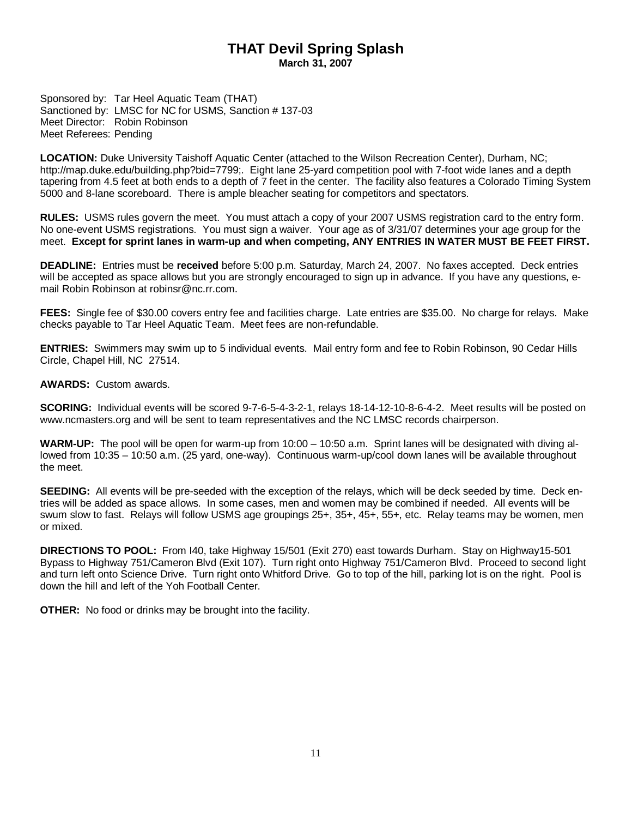# **THAT Devil Spring Splash March 31, 2007**

Sponsored by: Tar Heel Aquatic Team (THAT) Sanctioned by: LMSC for NC for USMS, Sanction # 137-03 Meet Director: Robin Robinson Meet Referees: Pending

**LOCATION:** Duke University Taishoff Aquatic Center (attached to the Wilson Recreation Center), Durham, NC; http://map.duke.edu/building.php?bid=7799;. Eight lane 25-yard competition pool with 7-foot wide lanes and a depth tapering from 4.5 feet at both ends to a depth of 7 feet in the center. The facility also features a Colorado Timing System 5000 and 8-lane scoreboard. There is ample bleacher seating for competitors and spectators.

**RULES:** USMS rules govern the meet. You must attach a copy of your 2007 USMS registration card to the entry form. No one-event USMS registrations. You must sign a waiver. Your age as of 3/31/07 determines your age group for the meet. **Except for sprint lanes in warm-up and when competing, ANY ENTRIES IN WATER MUST BE FEET FIRST.** 

**DEADLINE:** Entries must be **received** before 5:00 p.m. Saturday, March 24, 2007. No faxes accepted. Deck entries will be accepted as space allows but you are strongly encouraged to sign up in advance. If you have any questions, email Robin Robinson at robinsr@nc.rr.com.

**FEES:** Single fee of \$30.00 covers entry fee and facilities charge. Late entries are \$35.00. No charge for relays. Make checks payable to Tar Heel Aquatic Team. Meet fees are non-refundable.

**ENTRIES:** Swimmers may swim up to 5 individual events. Mail entry form and fee to Robin Robinson, 90 Cedar Hills Circle, Chapel Hill, NC 27514.

**AWARDS:** Custom awards.

**SCORING:** Individual events will be scored 9-7-6-5-4-3-2-1, relays 18-14-12-10-8-6-4-2. Meet results will be posted on www.ncmasters.org and will be sent to team representatives and the NC LMSC records chairperson.

**WARM-UP:** The pool will be open for warm-up from 10:00 – 10:50 a.m. Sprint lanes will be designated with diving allowed from 10:35 – 10:50 a.m. (25 yard, one-way). Continuous warm-up/cool down lanes will be available throughout the meet.

**SEEDING:** All events will be pre-seeded with the exception of the relays, which will be deck seeded by time. Deck entries will be added as space allows. In some cases, men and women may be combined if needed. All events will be swum slow to fast. Relays will follow USMS age groupings 25+, 35+, 45+, 55+, etc. Relay teams may be women, men or mixed.

**DIRECTIONS TO POOL:** From I40, take Highway 15/501 (Exit 270) east towards Durham. Stay on Highway15-501 Bypass to Highway 751/Cameron Blvd (Exit 107). Turn right onto Highway 751/Cameron Blvd. Proceed to second light and turn left onto Science Drive. Turn right onto Whitford Drive. Go to top of the hill, parking lot is on the right. Pool is down the hill and left of the Yoh Football Center.

**OTHER:** No food or drinks may be brought into the facility.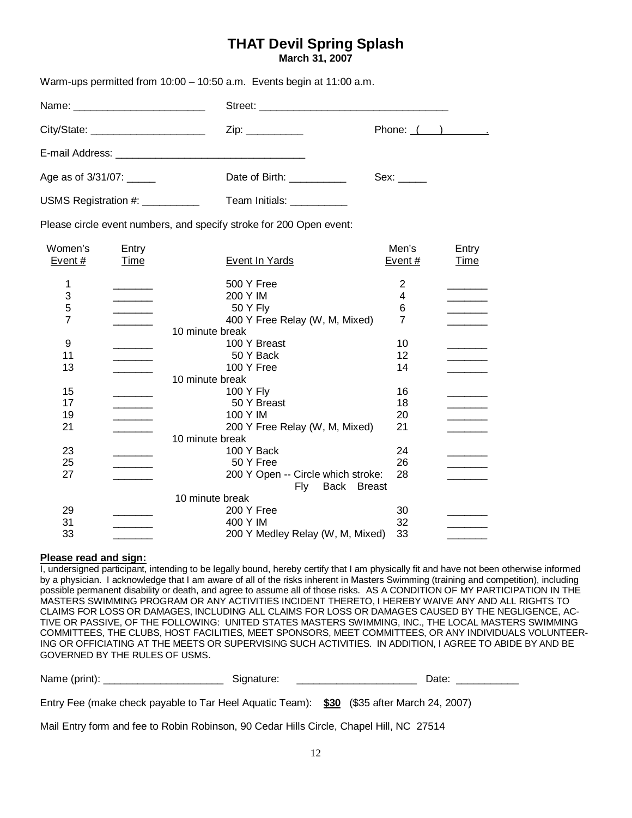# **THAT Devil Spring Splash**

**March 31, 2007** 

| Warm-ups permitted from 10:00 - 10:50 a.m. Events begin at 11:00 a.m. |                               |                |
|-----------------------------------------------------------------------|-------------------------------|----------------|
|                                                                       |                               |                |
| City/State: __________________________                                | Zip: ____________             | Phone: $($ $)$ |
|                                                                       |                               |                |
| Age as of 3/31/07: ______                                             | Date of Birth: Note of Birth: |                |
| USMS Registration #: __________                                       | Team Initials: ___________    |                |

Please circle event numbers, and specify stroke for 200 Open event:

| Women's                                    | Entry       |                                    | Men's  | Entry       |
|--------------------------------------------|-------------|------------------------------------|--------|-------------|
| Event#                                     | <u>Time</u> | <b>Event In Yards</b>              | Event# | <u>Time</u> |
| 1                                          |             | 500 Y Free                         | 2      |             |
|                                            |             | 200 Y IM                           | 4      |             |
| $\begin{array}{c} 3 \\ 5 \\ 7 \end{array}$ |             | 50 Y Fly                           | 6      |             |
|                                            |             | 400 Y Free Relay (W, M, Mixed)     | 7      |             |
|                                            |             | 10 minute break                    |        |             |
| 9                                          |             | 100 Y Breast                       | 10     |             |
| 11                                         |             | 50 Y Back                          | 12     |             |
| 13                                         |             | 100 Y Free                         | 14     |             |
|                                            |             | 10 minute break                    |        |             |
| 15                                         |             | 100 Y Fly                          | 16     |             |
| 17                                         |             | 50 Y Breast                        | 18     |             |
| 19                                         |             | 100 Y IM                           | 20     |             |
| 21                                         |             | 200 Y Free Relay (W, M, Mixed)     | 21     |             |
|                                            |             | 10 minute break                    |        |             |
| 23                                         |             | 100 Y Back                         | 24     |             |
| 25                                         |             | 50 Y Free                          | 26     |             |
| 27                                         |             | 200 Y Open -- Circle which stroke: | 28     |             |
|                                            |             | Back<br><b>Breast</b><br>Fly:      |        |             |
|                                            |             | 10 minute break                    |        |             |
| 29                                         |             | 200 Y Free                         | 30     |             |
| 31                                         |             | 400 Y IM                           | 32     |             |
| 33                                         |             | 200 Y Medley Relay (W, M, Mixed)   | 33     |             |
|                                            |             |                                    |        |             |

#### **Please read and sign:**

I, undersigned participant, intending to be legally bound, hereby certify that I am physically fit and have not been otherwise informed by a physician. I acknowledge that I am aware of all of the risks inherent in Masters Swimming (training and competition), including possible permanent disability or death, and agree to assume all of those risks. AS A CONDITION OF MY PARTICIPATION IN THE MASTERS SWIMMING PROGRAM OR ANY ACTIVITIES INCIDENT THERETO, I HEREBY WAIVE ANY AND ALL RIGHTS TO CLAIMS FOR LOSS OR DAMAGES, INCLUDING ALL CLAIMS FOR LOSS OR DAMAGES CAUSED BY THE NEGLIGENCE, AC-TIVE OR PASSIVE, OF THE FOLLOWING: UNITED STATES MASTERS SWIMMING, INC., THE LOCAL MASTERS SWIMMING COMMITTEES, THE CLUBS, HOST FACILITIES, MEET SPONSORS, MEET COMMITTEES, OR ANY INDIVIDUALS VOLUNTEER-ING OR OFFICIATING AT THE MEETS OR SUPERVISING SUCH ACTIVITIES. IN ADDITION, I AGREE TO ABIDE BY AND BE GOVERNED BY THE RULES OF USMS.

| Name (print): ___________________                                                         | Signature: | Date: |
|-------------------------------------------------------------------------------------------|------------|-------|
| Entry Fee (make check payable to Tar Heel Aguatic Team): \$30 (\$35 after March 24, 2007) |            |       |
| Mail Entry form and fee to Robin Robinson, 90 Cedar Hills Circle, Chapel Hill, NC 27514   |            |       |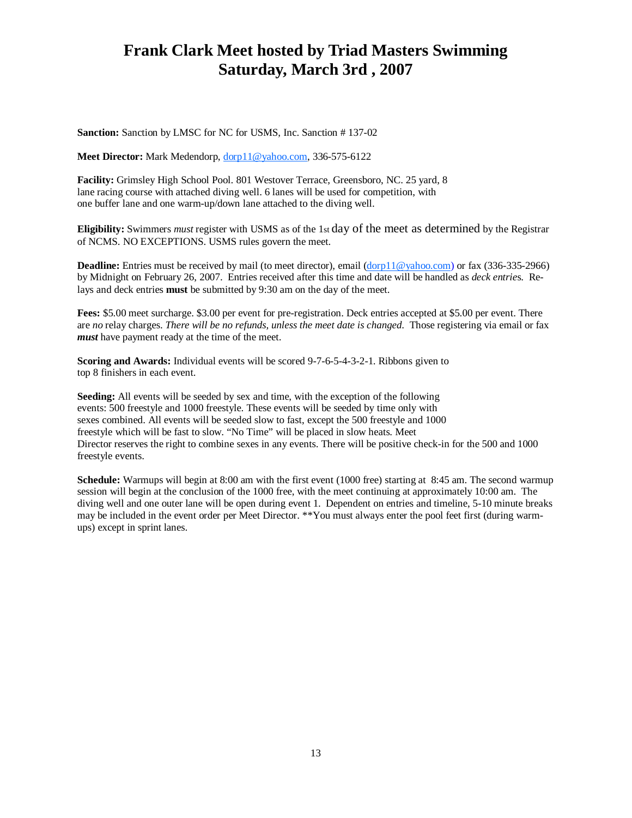# **Frank Clark Meet hosted by Triad Masters Swimming Saturday, March 3rd , 2007**

**Sanction:** Sanction by LMSC for NC for USMS, Inc. Sanction # 137-02

**Meet Director:** Mark Medendorp, dorp11@yahoo.com, 336-575-6122

**Facility:** Grimsley High School Pool. 801 Westover Terrace, Greensboro, NC. 25 yard, 8 lane racing course with attached diving well. 6 lanes will be used for competition, with one buffer lane and one warm-up/down lane attached to the diving well.

**Eligibility:** Swimmers *must* register with USMS as of the 1st day of the meet as determined by the Registrar of NCMS. NO EXCEPTIONS. USMS rules govern the meet.

**Deadline:** Entries must be received by mail (to meet director), email (dorp11@yahoo.com) or fax (336-335-2966) by Midnight on February 26, 2007. Entries received after this time and date will be handled as *deck entrie*s. Relays and deck entries **must** be submitted by 9:30 am on the day of the meet.

**Fees:** \$5.00 meet surcharge. \$3.00 per event for pre-registration. Deck entries accepted at \$5.00 per event. There are *no* relay charges. *There will be no refunds, unless the meet date is changed*. Those registering via email or fax *must* have payment ready at the time of the meet.

**Scoring and Awards:** Individual events will be scored 9-7-6-5-4-3-2-1. Ribbons given to top 8 finishers in each event.

**Seeding:** All events will be seeded by sex and time, with the exception of the following events: 500 freestyle and 1000 freestyle. These events will be seeded by time only with sexes combined. All events will be seeded slow to fast, except the 500 freestyle and 1000 freestyle which will be fast to slow. "No Time" will be placed in slow heats. Meet Director reserves the right to combine sexes in any events. There will be positive check-in for the 500 and 1000 freestyle events.

**Schedule:** Warmups will begin at 8:00 am with the first event (1000 free) starting at 8:45 am. The second warmup session will begin at the conclusion of the 1000 free, with the meet continuing at approximately 10:00 am. The diving well and one outer lane will be open during event 1. Dependent on entries and timeline, 5-10 minute breaks may be included in the event order per Meet Director. \*\*You must always enter the pool feet first (during warmups) except in sprint lanes.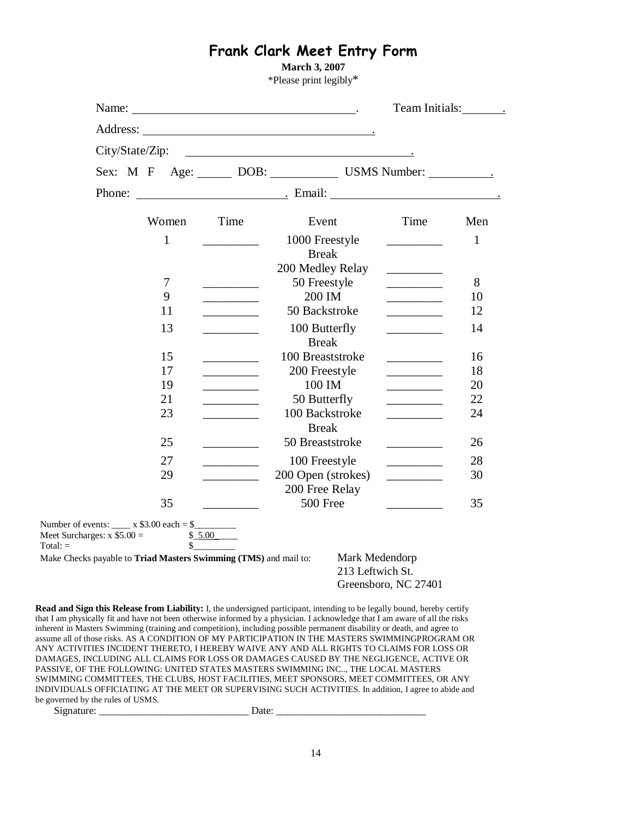# Frank Clark Meet Entry Form

**March 3, 2007** 

\*Please print legibly\*

|                                                                                             | City/State/Zip:                                         |    |                                 |                                                | <u> 2002 - Jan James James Barnett, prima politik (</u>                            |                                                                                                                                                                                                                                          |     |  |  |  |
|---------------------------------------------------------------------------------------------|---------------------------------------------------------|----|---------------------------------|------------------------------------------------|------------------------------------------------------------------------------------|------------------------------------------------------------------------------------------------------------------------------------------------------------------------------------------------------------------------------------------|-----|--|--|--|
|                                                                                             |                                                         |    | Sex: M F Age: DOB: USMS Number: |                                                |                                                                                    |                                                                                                                                                                                                                                          |     |  |  |  |
|                                                                                             |                                                         |    |                                 |                                                |                                                                                    | Phone: <u>Contract Communication</u> Email: <u>Communication Communication</u> Communication Communication Communication Communication Communication Communication Communication Communication Communication Communication Communication |     |  |  |  |
|                                                                                             |                                                         |    | Women                           | Time                                           | Event                                                                              | Time                                                                                                                                                                                                                                     | Men |  |  |  |
|                                                                                             | 1                                                       |    |                                 |                                                | 1000 Freestyle<br><b>Break</b>                                                     |                                                                                                                                                                                                                                          | 1   |  |  |  |
|                                                                                             |                                                         |    |                                 |                                                | 200 Medley Relay                                                                   |                                                                                                                                                                                                                                          |     |  |  |  |
|                                                                                             |                                                         | 7  |                                 |                                                | 50 Freestyle                                                                       |                                                                                                                                                                                                                                          | 8   |  |  |  |
|                                                                                             |                                                         | 9  |                                 | <u> 1999 - Johann John Stone</u>               | 200 IM                                                                             |                                                                                                                                                                                                                                          | 10  |  |  |  |
|                                                                                             |                                                         | 11 |                                 |                                                | 50 Backstroke                                                                      | <u> 1989 - Johann Stone, fransk politiker</u>                                                                                                                                                                                            | 12  |  |  |  |
|                                                                                             |                                                         | 13 |                                 |                                                | 100 Butterfly<br><b>Break</b>                                                      |                                                                                                                                                                                                                                          | 14  |  |  |  |
|                                                                                             | 15<br>100 Breaststroke<br><u> 1999 - Jan Barnett, f</u> |    |                                 |                                                |                                                                                    | 16                                                                                                                                                                                                                                       |     |  |  |  |
|                                                                                             |                                                         | 17 |                                 |                                                | 200 Freestyle                                                                      |                                                                                                                                                                                                                                          | 18  |  |  |  |
|                                                                                             |                                                         | 19 |                                 | $\mathcal{L} = \mathcal{L} \times \mathcal{L}$ | 100 IM                                                                             | $\overline{\phantom{a}}$ . The contract of $\overline{\phantom{a}}$                                                                                                                                                                      | 20  |  |  |  |
|                                                                                             |                                                         | 21 |                                 |                                                | 50 Butterfly                                                                       | $\overline{\phantom{a}}$                                                                                                                                                                                                                 | 22  |  |  |  |
|                                                                                             |                                                         | 23 |                                 |                                                | 100 Backstroke<br><b>Break</b>                                                     |                                                                                                                                                                                                                                          | 24  |  |  |  |
|                                                                                             |                                                         | 25 |                                 |                                                | 50 Breaststroke                                                                    | $\overline{\phantom{a}}$                                                                                                                                                                                                                 | 26  |  |  |  |
|                                                                                             |                                                         | 27 |                                 |                                                | 100 Freestyle                                                                      |                                                                                                                                                                                                                                          | 28  |  |  |  |
|                                                                                             |                                                         | 29 |                                 |                                                | 200 Open (strokes)                                                                 |                                                                                                                                                                                                                                          | 30  |  |  |  |
|                                                                                             |                                                         |    |                                 |                                                | 200 Free Relay                                                                     |                                                                                                                                                                                                                                          |     |  |  |  |
|                                                                                             |                                                         | 35 |                                 |                                                | 500 Free                                                                           | $\overline{\phantom{a}}$ . The contract of $\overline{\phantom{a}}$                                                                                                                                                                      | 35  |  |  |  |
| Number of events: $\_\_\ x$ \$3.00 each = \$<br>Meet Surcharges: $x$ \$5.00 =<br>$Total: =$ |                                                         |    | \$ 5.00<br>\$                   |                                                |                                                                                    |                                                                                                                                                                                                                                          |     |  |  |  |
|                                                                                             |                                                         |    |                                 |                                                | Mark Medendorp<br>Make Checks payable to Triad Masters Swimming (TMS) and mail to: |                                                                                                                                                                                                                                          |     |  |  |  |
|                                                                                             |                                                         |    |                                 |                                                | 213 Leftwich St.                                                                   |                                                                                                                                                                                                                                          |     |  |  |  |
|                                                                                             |                                                         |    |                                 |                                                |                                                                                    | Greensboro, NC 27401                                                                                                                                                                                                                     |     |  |  |  |

SWIMMING COMMITTEES, THE CLUBS, HOST FACILITIES, MEET SPONSORS, MEET COMMITTEES, OR ANY INDIVIDUALS OFFICIATING AT THE MEET OR SUPERVISING SUCH ACTIVITIES. In addition, I agree to abide and be governed by the rules of USMS.

Signature: \_\_\_\_\_\_\_\_\_\_\_\_\_\_\_\_\_\_\_\_\_\_\_\_\_\_\_\_\_ Date: \_\_\_\_\_\_\_\_\_\_\_\_\_\_\_\_\_\_\_\_\_\_\_\_\_\_\_\_\_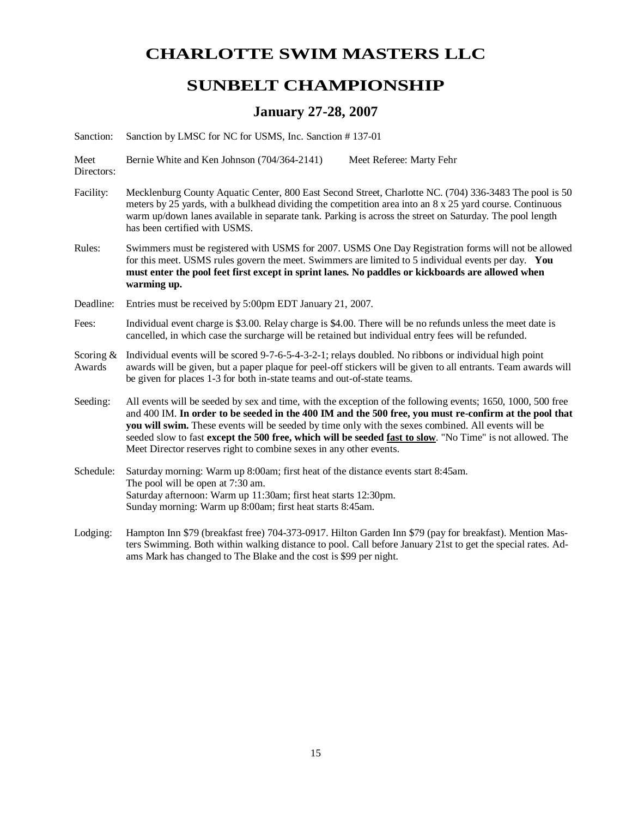# **CHARLOTTE SWIM MASTERS LLC**

# **SUNBELT CHAMPIONSHIP**

# **January 27-28, 2007**

Sanction: Sanction by LMSC for NC for USMS, Inc. Sanction # 137-01

Meet Bernie White and Ken Johnson (704/364-2141) Meet Referee: Marty Fehr

Directors:

- Facility: Mecklenburg County Aquatic Center, 800 East Second Street, Charlotte NC. (704) 336-3483 The pool is 50 meters by 25 yards, with a bulkhead dividing the competition area into an 8 x 25 yard course. Continuous warm up/down lanes available in separate tank. Parking is across the street on Saturday. The pool length has been certified with USMS.
- Rules: Swimmers must be registered with USMS for 2007. USMS One Day Registration forms will not be allowed for this meet. USMS rules govern the meet. Swimmers are limited to 5 individual events per day. **You must enter the pool feet first except in sprint lanes. No paddles or kickboards are allowed when warming up.**

Deadline: Entries must be received by 5:00pm EDT January 21, 2007.

Fees: Individual event charge is \$3.00. Relay charge is \$4.00. There will be no refunds unless the meet date is cancelled, in which case the surcharge will be retained but individual entry fees will be refunded.

Scoring & Awards Individual events will be scored 9-7-6-5-4-3-2-1; relays doubled. No ribbons or individual high point awards will be given, but a paper plaque for peel-off stickers will be given to all entrants. Team awards will be given for places 1-3 for both in-state teams and out-of-state teams.

- Seeding: All events will be seeded by sex and time, with the exception of the following events; 1650, 1000, 500 free and 400 IM. **In order to be seeded in the 400 IM and the 500 free, you must re-confirm at the pool that you will swim.** These events will be seeded by time only with the sexes combined. All events will be seeded slow to fast **except the 500 free, which will be seeded fast to slow**. "No Time" is not allowed. The Meet Director reserves right to combine sexes in any other events.
- Schedule: Saturday morning: Warm up 8:00am; first heat of the distance events start 8:45am. The pool will be open at 7:30 am. Saturday afternoon: Warm up 11:30am; first heat starts 12:30pm. Sunday morning: Warm up 8:00am; first heat starts 8:45am.
- Lodging: Hampton Inn \$79 (breakfast free) 704-373-0917. Hilton Garden Inn \$79 (pay for breakfast). Mention Masters Swimming. Both within walking distance to pool. Call before January 21st to get the special rates. Adams Mark has changed to The Blake and the cost is \$99 per night.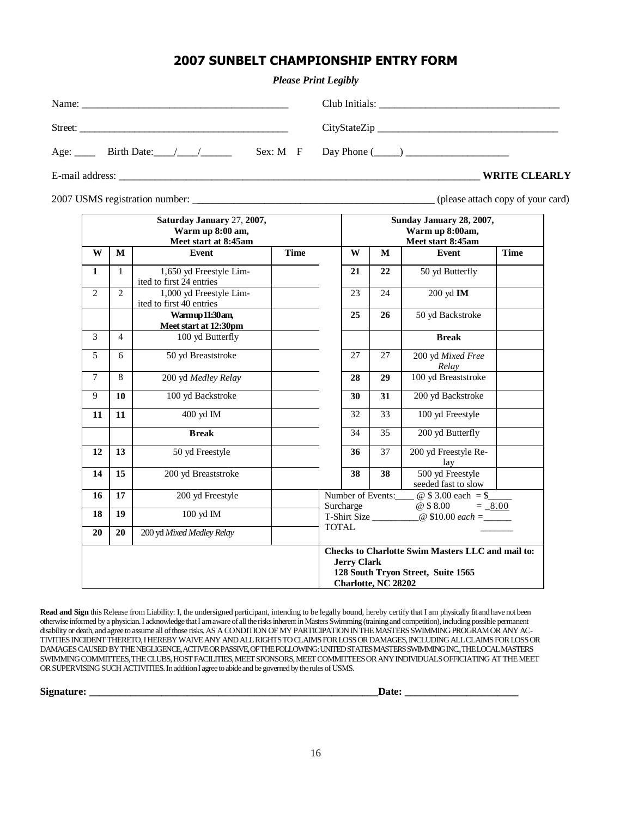# 2007 SUNBELT CHAMPIONSHIP ENTRY FORM

#### *Please Print Legibly*

| Name:   |  |                                               |  |  |
|---------|--|-----------------------------------------------|--|--|
| Street: |  |                                               |  |  |
|         |  | $Sex: M \quad F \qquad Day Phone (\_\_) \_\_$ |  |  |

E-mail address: \_\_\_\_\_\_\_\_\_\_\_\_\_\_\_\_\_\_\_\_\_\_\_\_\_\_\_\_\_\_\_\_\_\_\_\_\_\_\_\_\_\_\_\_\_\_\_\_\_\_\_\_\_\_\_\_\_\_\_\_\_\_\_\_\_\_\_\_\_\_ **WRITE CLEARLY**

2007 USMS registration number: \_**\_\_\_\_\_\_\_\_\_\_\_\_\_\_\_\_\_\_\_\_\_\_\_\_\_\_\_\_\_\_\_\_\_\_\_\_\_\_\_\_\_\_\_\_\_\_** (please attach copy of your card)

|                |                | Saturday January 27, 2007,<br>Warm up 8:00 am,<br>Meet start at 8:45am |             |                                                                          |                    |                     | Sunday January 28, 2007,<br>Warm up 8:00am,<br>Meet start 8:45am                               |             |
|----------------|----------------|------------------------------------------------------------------------|-------------|--------------------------------------------------------------------------|--------------------|---------------------|------------------------------------------------------------------------------------------------|-------------|
| W              | M              | Event                                                                  | <b>Time</b> |                                                                          | W                  | M                   | Event                                                                                          | <b>Time</b> |
| $\mathbf 1$    | $\mathbf{1}$   | 1,650 yd Freestyle Lim-<br>ited to first 24 entries                    |             |                                                                          | 21                 | 22                  | 50 yd Butterfly                                                                                |             |
| $\overline{2}$ | $\overline{2}$ | 1,000 yd Freestyle Lim-<br>ited to first 40 entries                    |             |                                                                          | 23                 | 24                  | 200 yd IM                                                                                      |             |
|                |                | Warmup 11:30 am,<br>Meet start at 12:30pm                              |             |                                                                          | 25                 | 26                  | 50 yd Backstroke                                                                               |             |
| 3              | $\overline{4}$ | 100 yd Butterfly                                                       |             |                                                                          |                    |                     | <b>Break</b>                                                                                   |             |
| 5              | 6              | 50 yd Breaststroke                                                     |             |                                                                          | 27                 | 27                  | 200 yd Mixed Free<br>Relay                                                                     |             |
| $\tau$         | 8              | 200 yd Medley Relay                                                    |             |                                                                          | 28                 | 29                  | 100 yd Breaststroke                                                                            |             |
| 9              | 10             | 100 yd Backstroke                                                      |             |                                                                          | 30                 | 31                  | 200 yd Backstroke                                                                              |             |
| 11             | 11             | 400 yd IM                                                              |             |                                                                          | 32                 | 33                  | 100 yd Freestyle                                                                               |             |
|                |                | <b>Break</b>                                                           |             |                                                                          | 34                 | 35                  | 200 yd Butterfly                                                                               |             |
| 12             | 13             | 50 yd Freestyle                                                        |             |                                                                          | 36                 | 37                  | 200 yd Freestyle Re-<br>lav                                                                    |             |
| 14             | 15             | 200 yd Breaststroke                                                    |             |                                                                          | 38                 | 38                  | 500 yd Freestyle<br>seeded fast to slow                                                        |             |
| 16             | 17             | 200 yd Freestyle                                                       |             | @ $$3.00 each = $$<br>Number of Events:                                  |                    |                     |                                                                                                |             |
| 18             | 19             | 100 yd IM                                                              |             | @ \$ 8.00<br>Surcharge<br>$= 8.00$<br>T-Shirt Size<br>@ \$10.00 $each =$ |                    |                     |                                                                                                |             |
| 20             | 20             | 200 yd Mixed Medley Relay                                              |             | <b>TOTAL</b>                                                             |                    |                     |                                                                                                |             |
|                |                |                                                                        |             |                                                                          | <b>Jerry Clark</b> | Charlotte, NC 28202 | <b>Checks to Charlotte Swim Masters LLC and mail to:</b><br>128 South Tryon Street, Suite 1565 |             |

**Read and Sign** this Release from Liability: I, the undersigned participant, intending to be legally bound, hereby certify that I am physically fit and have not been otherwise informed by a physician. I acknowledge that I am aware of all the risks inherent in Masters Swimming (training and competition), including possible permanent disability or death, and agree to assume all of those risks. AS A CONDITION OF MY PARTICIPATION IN THE MASTERS SWIMMING PROGRAM OR ANY AC-TIVITIES INCIDENT THERETO, I HEREBY WAIVE ANY AND ALL RIGHTS TO CLAIMS FOR LOSS OR DAMAGES, INCLUDING ALL CLAIMS FOR LOSS OR DAMAGES CAUSED BY THE NEGLIGENCE, ACTIVE OR PASSIVE, OF THE FOLLOWING: UNITED STATES MASTERS SWIMMING INC., THE LOCAL MASTERS SWIMMING COMMITTEES, THE CLUBS, HOST FACILITIES, MEET SPONSORS, MEET COMMITTEES OR ANY INDIVIDUALS OFFICIATING AT THE MEET OR SUPERVISING SUCH ACTIVITIES. In addition I agree to abide and be governed by the rules of USMS.

**Signature: \_\_\_\_\_\_\_\_\_\_\_\_\_\_\_\_\_\_\_\_\_\_\_\_\_\_\_\_\_\_\_\_\_\_\_\_\_\_\_\_\_\_\_\_\_\_\_\_\_\_\_\_\_\_\_\_Date: \_\_\_\_\_\_\_\_\_\_\_\_\_\_\_\_\_\_\_\_\_\_**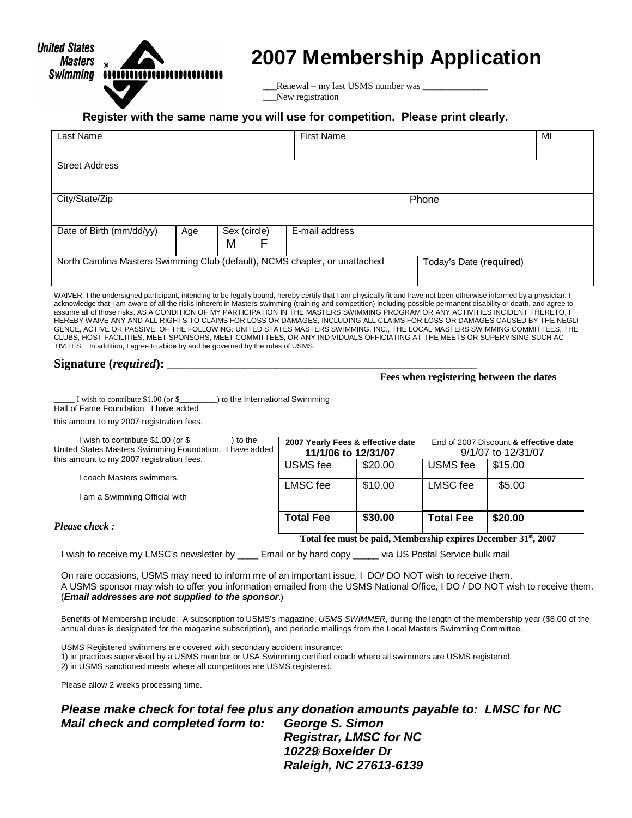

# **2007 Membership Application**

 \_\_\_Renewal – my last USMS number was \_\_\_\_\_\_\_\_\_\_\_\_\_\_ \_\_\_New registration

#### **Register with the same name you will use for competition. Please print clearly.**

| Last Name                                                                   |     |                         | <b>First Name</b> | MI    |  |  |
|-----------------------------------------------------------------------------|-----|-------------------------|-------------------|-------|--|--|
| <b>Street Address</b>                                                       |     |                         |                   |       |  |  |
|                                                                             |     |                         |                   |       |  |  |
| City/State/Zip                                                              |     |                         |                   | Phone |  |  |
|                                                                             |     |                         |                   |       |  |  |
| Date of Birth (mm/dd/yy)                                                    | Age | Sex (circle)            | E-mail address    |       |  |  |
|                                                                             |     | M<br>F                  |                   |       |  |  |
| North Carolina Masters Swimming Club (default), NCMS chapter, or unattached |     | Today's Date (required) |                   |       |  |  |
|                                                                             |     |                         |                   |       |  |  |

WAIVER: I the undersigned participant, intending to be legally bound, hereby certify that I am physically fit and have not been otherwise informed by a physician. I acknowledge that I am aware of all the risks inherent in Masters swimming (training and competition) including possible permanent disability or death, and agree to assume all of those risks. AS A CONDITION OF MY PARTICIPATION IN THE MASTERS SWIMMING PROGRAM OR ANY ACTIVITIES INCIDENT THERETO, I HEREBY WAIVE ANY AND ALL RIGHTS TO CLAIMS FOR LOSS OR DAMAGES, INCLUDING ALL CLAIMS FOR LOSS OR DAMAGES CAUSED BY THE NEGLI-GENCE, ACTIVE OR PASSIVE, OF THE FOLLOWING: UNITED STATES MASTERS SWIMMING, INC., THE LOCAL MASTERS SWIMMING COMMITTEES, THE CLUBS, HOST FACILITIES, MEET SPONSORS, MEET COMMITTEES, OR ANY INDIVIDUALS OFFICIATING AT THE MEETS OR SUPERVISING SUCH AC-TIVITES. In addition, I agree to abide by and be governed by the rules of USMS.

# Signature (*required*):

 **Fees when registering between the dates** 

I wish to contribute \$1.00 (or \$\_\_\_\_\_\_\_\_) to the International Swimming Hall of Fame Foundation. I have added

this amount to my 2007 registration fees.

| I wish to contribute \$1.00 (or \$<br>to the<br>United States Masters Swimming Foundation. I have added | 2007 Yearly Fees & effective date<br>11/1/06 to 12/31/07 |         | End of 2007 Discount & effective date<br>9/1/07 to 12/31/07 |                                                                             |  |
|---------------------------------------------------------------------------------------------------------|----------------------------------------------------------|---------|-------------------------------------------------------------|-----------------------------------------------------------------------------|--|
| this amount to my 2007 registration fees.<br>coach Masters swimmers.                                    | USMS fee                                                 | \$20.00 | USMS fee                                                    | \$15.00                                                                     |  |
| l am a Swimming Official with                                                                           | LMSC fee                                                 | \$10.00 | LMSC fee                                                    | \$5.00                                                                      |  |
|                                                                                                         |                                                          |         |                                                             |                                                                             |  |
| Please check:                                                                                           | <b>Total Fee</b>                                         | \$30.00 | <b>Total Fee</b>                                            | \$20.00                                                                     |  |
|                                                                                                         |                                                          |         |                                                             | Total fee must be paid, Membership expires December 31 <sup>st</sup> , 2007 |  |

I wish to receive my LMSC's newsletter by \_\_\_\_\_ Email or by hard copy \_\_\_\_\_ via US Postal Service bulk mail

On rare occasions, USMS may need to inform me of an important issue, I DO/ DO NOT wish to receive them. A USMS sponsor may wish to offer you information emailed from the USMS National Office, I DO / DO NOT wish to receive them. (**Email addresses are not supplied to the sponsor**.)

Benefits of Membership include: A subscription to USMS's magazine, USMS SWIMMER, during the length of the membership year (\$8.00 of the annual dues is designated for the magazine subscription), and periodic mailings from the Local Masters Swimming Committee.

USMS Registered swimmers are covered with secondary accident insurance: 1) in practices supervised by a USMS member or USA Swimming certified coach where all swimmers are USMS registered. 2) in USMS sanctioned meets where all competitors are USMS registered.

Please allow 2 weeks processing time.

17  **10229 Boxelder Dr Please make check for total fee plus any donation amounts payable to: LMSC for NC Mail check and completed form to: George S. Simon Registrar, LMSC for NC Raleigh, NC 27613-6139**